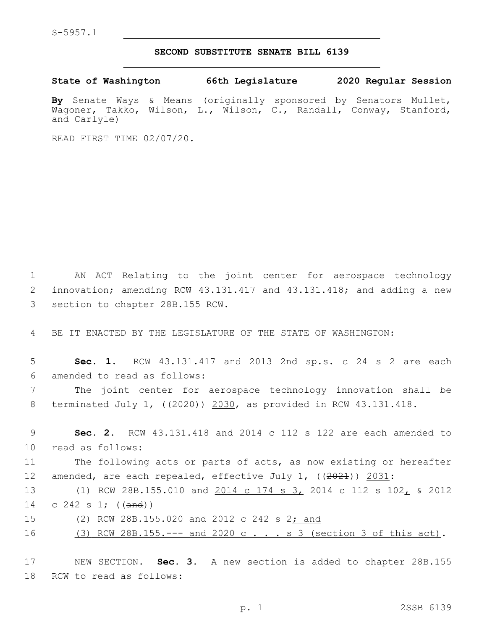## **SECOND SUBSTITUTE SENATE BILL 6139**

**State of Washington 66th Legislature 2020 Regular Session**

**By** Senate Ways & Means (originally sponsored by Senators Mullet, Wagoner, Takko, Wilson, L., Wilson, C., Randall, Conway, Stanford, and Carlyle)

READ FIRST TIME 02/07/20.

1 AN ACT Relating to the joint center for aerospace technology 2 innovation; amending RCW 43.131.417 and 43.131.418; and adding a new 3 section to chapter 28B.155 RCW.

4 BE IT ENACTED BY THE LEGISLATURE OF THE STATE OF WASHINGTON:

5 **Sec. 1.** RCW 43.131.417 and 2013 2nd sp.s. c 24 s 2 are each 6 amended to read as follows:

7 The joint center for aerospace technology innovation shall be 8 terminated July 1, ((2020)) 2030, as provided in RCW 43.131.418.

9 **Sec. 2.** RCW 43.131.418 and 2014 c 112 s 122 are each amended to 10 read as follows:

11 The following acts or parts of acts, as now existing or hereafter 12 amended, are each repealed, effective July 1, ((2021)) 2031:

13 (1) RCW 28B.155.010 and 2014 c 174 s 3, 2014 c 112 s 102, & 2012 14 c 242 s 1; ((and))

15 (2) RCW 28B.155.020 and 2012 c 242 s 2; and

16 (3) RCW 28B.155.--- and 2020 c . . . s 3 (section 3 of this act).

17 NEW SECTION. **Sec. 3.** A new section is added to chapter 28B.155 18 RCW to read as follows: